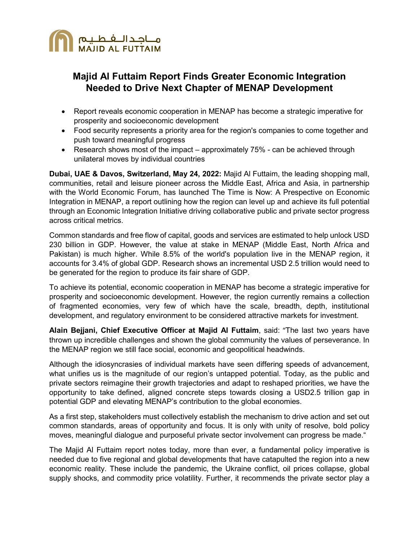

# **Majid Al Futtaim Report Finds Greater Economic Integration Needed to Drive Next Chapter of MENAP Development**

- Report reveals economic cooperation in MENAP has become a strategic imperative for prosperity and socioeconomic development
- Food security represents a priority area for the region's companies to come together and push toward meaningful progress
- Research shows most of the impact approximately 75% can be achieved through unilateral moves by individual countries

**Dubai, UAE & Davos, Switzerland, May 24, 2022:** Majid Al Futtaim, the leading shopping mall, communities, retail and leisure pioneer across the Middle East, Africa and Asia, in partnership with the World Economic Forum, has launched The Time is Now: A Prespective on Economic Integration in MENAP, a report outlining how the region can level up and achieve its full potential through an Economic Integration Initiative driving collaborative public and private sector progress across critical metrics.

Common standards and free flow of capital, goods and services are estimated to help unlock USD 230 billion in GDP. However, the value at stake in MENAP (Middle East, North Africa and Pakistan) is much higher. While 8.5% of the world's population live in the MENAP region, it accounts for 3.4% of global GDP. Research shows an incremental USD 2.5 trillion would need to be generated for the region to produce its fair share of GDP.

To achieve its potential, economic cooperation in MENAP has become a strategic imperative for prosperity and socioeconomic development. However, the region currently remains a collection of fragmented economies, very few of which have the scale, breadth, depth, institutional development, and regulatory environment to be considered attractive markets for investment.

**Alain Bejjani, Chief Executive Officer at Majid Al Futtaim**, said: "The last two years have thrown up incredible challenges and shown the global community the values of perseverance. In the MENAP region we still face social, economic and geopolitical headwinds.

Although the idiosyncrasies of individual markets have seen differing speeds of advancement, what unifies us is the magnitude of our region's untapped potential. Today, as the public and private sectors reimagine their growth trajectories and adapt to reshaped priorities, we have the opportunity to take defined, aligned concrete steps towards closing a USD2.5 trillion gap in potential GDP and elevating MENAP's contribution to the global economies.

As a first step, stakeholders must collectively establish the mechanism to drive action and set out common standards, areas of opportunity and focus. It is only with unity of resolve, bold policy moves, meaningful dialogue and purposeful private sector involvement can progress be made."

The Majid Al Futtaim report notes today, more than ever, a fundamental policy imperative is needed due to five regional and global developments that have catapulted the region into a new economic reality. These include the pandemic, the Ukraine conflict, oil prices collapse, global supply shocks, and commodity price volatility. Further, it recommends the private sector play a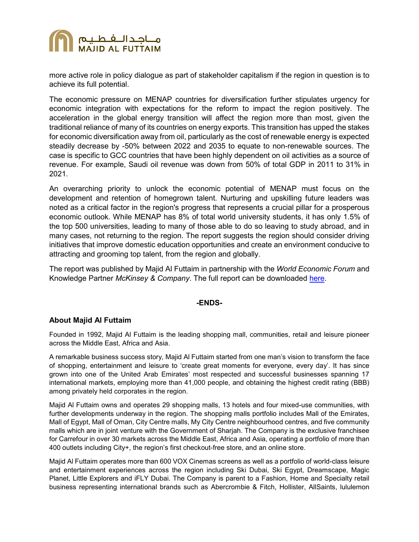

more active role in policy dialogue as part of stakeholder capitalism if the region in question is to achieve its full potential.

The economic pressure on MENAP countries for diversification further stipulates urgency for economic integration with expectations for the reform to impact the region positively. The acceleration in the global energy transition will affect the region more than most, given the traditional reliance of many of its countries on energy exports. This transition has upped the stakes for economic diversification away from oil, particularly as the cost of renewable energy is expected steadily decrease by -50% between 2022 and 2035 to equate to non-renewable sources. The case is specific to GCC countries that have been highly dependent on oil activities as a source of revenue. For example, Saudi oil revenue was down from 50% of total GDP in 2011 to 31% in 2021.

An overarching priority to unlock the economic potential of MENAP must focus on the development and retention of homegrown talent. Nurturing and upskilling future leaders was noted as a critical factor in the region's progress that represents a crucial pillar for a prosperous economic outlook. While MENAP has 8% of total world university students, it has only 1.5% of the top 500 universities, leading to many of those able to do so leaving to study abroad, and in many cases, not returning to the region. The report suggests the region should consider driving initiatives that improve domestic education opportunities and create an environment conducive to attracting and grooming top talent, from the region and globally.

The report was published by Majid Al Futtaim in partnership with the *World Economic Forum* and Knowledge Partner *McKinsey & Company*. The full report can be downloaded [here.](https://maf.am/prlWEF2022E)

## **-ENDS-**

### **About Majid Al Futtaim**

Founded in 1992, Majid Al Futtaim is the leading shopping mall, communities, retail and leisure pioneer across the Middle East, Africa and Asia.

A remarkable business success story, Majid Al Futtaim started from one man's vision to transform the face of shopping, entertainment and leisure to 'create great moments for everyone, every day'. It has since grown into one of the United Arab Emirates' most respected and successful businesses spanning 17 international markets, employing more than 41,000 people, and obtaining the highest credit rating (BBB) among privately held corporates in the region.

Majid Al Futtaim owns and operates 29 shopping malls, 13 hotels and four mixed-use communities, with further developments underway in the region. The shopping malls portfolio includes Mall of the Emirates, Mall of Egypt, Mall of Oman, City Centre malls, My City Centre neighbourhood centres, and five community malls which are in joint venture with the Government of Sharjah. The Company is the exclusive franchisee for Carrefour in over 30 markets across the Middle East, Africa and Asia, operating a portfolio of more than 400 outlets including City+, the region's first checkout-free store, and an online store.

Majid Al Futtaim operates more than 600 VOX Cinemas screens as well as a portfolio of world-class leisure and entertainment experiences across the region including Ski Dubai, Ski Egypt, Dreamscape, Magic Planet, Little Explorers and iFLY Dubai. The Company is parent to a Fashion, Home and Specialty retail business representing international brands such as Abercrombie & Fitch, Hollister, AllSaints, lululemon